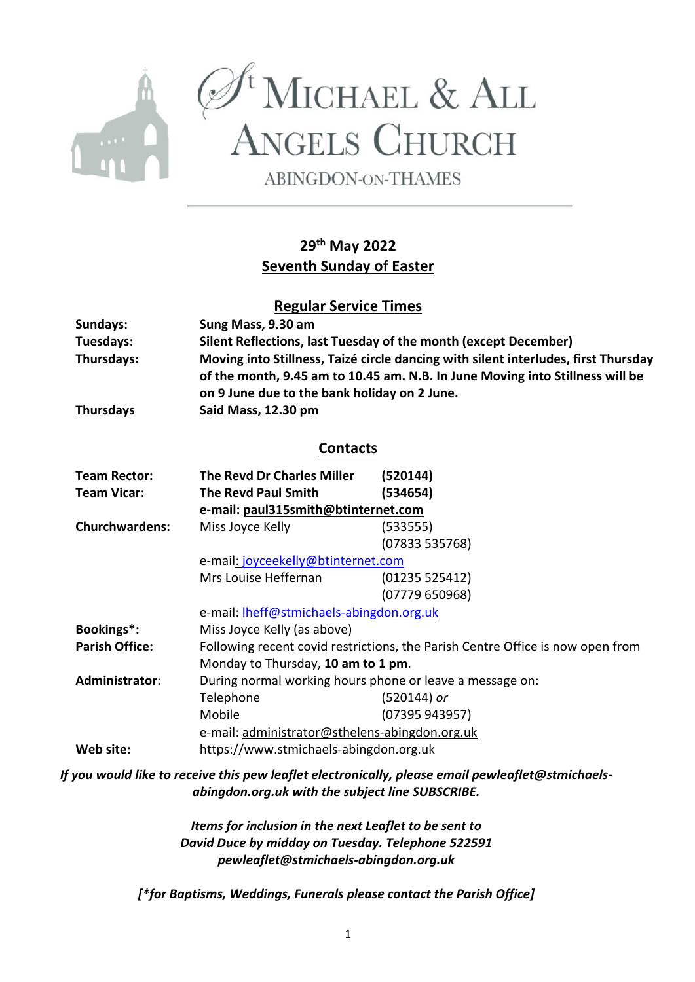

 $\begin{array}{c}\mathscr{D}^{\mathfrak{t}}{\bf M}{\bf ICHAEL\,\&\,\,ALL} \\ {\bf A}{\bf NGELS\,\,CHURCH} \end{array}$ 

**ABINGDON-ON-THAMES** 

# **29th May 2022 Seventh Sunday of Easter**

## **Regular Service Times**

| Sundays:              | Sung Mass, 9.30 am                                                                                                                                                  |                |  |  |  |
|-----------------------|---------------------------------------------------------------------------------------------------------------------------------------------------------------------|----------------|--|--|--|
| Tuesdays:             | Silent Reflections, last Tuesday of the month (except December)                                                                                                     |                |  |  |  |
| Thursdays:            | Moving into Stillness, Taizé circle dancing with silent interludes, first Thursday<br>of the month, 9.45 am to 10.45 am. N.B. In June Moving into Stillness will be |                |  |  |  |
| <b>Thursdays</b>      | on 9 June due to the bank holiday on 2 June.<br>Said Mass, 12.30 pm                                                                                                 |                |  |  |  |
| <b>Contacts</b>       |                                                                                                                                                                     |                |  |  |  |
| <b>Team Rector:</b>   | <b>The Revd Dr Charles Miller</b>                                                                                                                                   | (520144)       |  |  |  |
| <b>Team Vicar:</b>    | <b>The Revd Paul Smith</b>                                                                                                                                          | (534654)       |  |  |  |
|                       | e-mail: paul315smith@btinternet.com                                                                                                                                 |                |  |  |  |
| <b>Churchwardens:</b> | Miss Joyce Kelly                                                                                                                                                    | (533555)       |  |  |  |
|                       |                                                                                                                                                                     | (07833 535768) |  |  |  |
|                       | e-mail: joyceekelly@btinternet.com                                                                                                                                  |                |  |  |  |
|                       | Mrs Louise Heffernan                                                                                                                                                | (01235525412)  |  |  |  |
|                       |                                                                                                                                                                     | (07779650968)  |  |  |  |
|                       | e-mail: <b>Iheff@stmichaels-abingdon.org.uk</b>                                                                                                                     |                |  |  |  |
| Bookings*:            | Miss Joyce Kelly (as above)                                                                                                                                         |                |  |  |  |
| <b>Parish Office:</b> | Following recent covid restrictions, the Parish Centre Office is now open from                                                                                      |                |  |  |  |
|                       | Monday to Thursday, 10 am to 1 pm.                                                                                                                                  |                |  |  |  |
| Administrator:        | During normal working hours phone or leave a message on:                                                                                                            |                |  |  |  |
|                       | Telephone                                                                                                                                                           | (520144) or    |  |  |  |
|                       | Mobile                                                                                                                                                              | (07395 943957) |  |  |  |
|                       | e-mail: administrator@sthelens-abingdon.org.uk                                                                                                                      |                |  |  |  |
| Web site:             | https://www.stmichaels-abingdon.org.uk                                                                                                                              |                |  |  |  |

*If you would like to receive this pew leaflet electronically, please email pewleaflet@stmichaelsabingdon.org.uk with the subject line SUBSCRIBE.*

> *Items for inclusion in the next Leaflet to be sent to David Duce by midday on Tuesday. Telephone 522591 pewleaflet@stmichaels-abingdon.org.uk*

*[\*for Baptisms, Weddings, Funerals please contact the Parish Office]*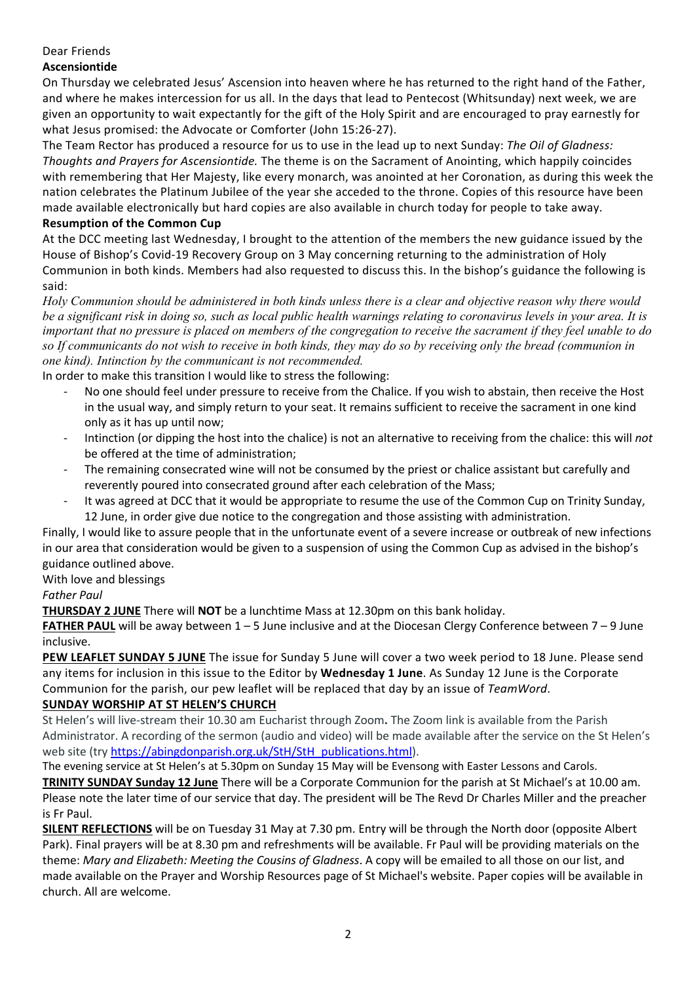## Dear Friends

## **Ascensiontide**

On Thursday we celebrated Jesus' Ascension into heaven where he has returned to the right hand of the Father, and where he makes intercession for us all. In the days that lead to Pentecost (Whitsunday) next week, we are given an opportunity to wait expectantly for the gift of the Holy Spirit and are encouraged to pray earnestly for what Jesus promised: the Advocate or Comforter (John 15:26-27).

The Team Rector has produced a resource for us to use in the lead up to next Sunday: *The Oil of Gladness: Thoughts and Prayers for Ascensiontide.* The theme is on the Sacrament of Anointing, which happily coincides with remembering that Her Majesty, like every monarch, was anointed at her Coronation, as during this week the nation celebrates the Platinum Jubilee of the year she acceded to the throne. Copies of this resource have been made available electronically but hard copies are also available in church today for people to take away.

## **Resumption of the Common Cup**

At the DCC meeting last Wednesday, I brought to the attention of the members the new guidance issued by the House of Bishop's Covid-19 Recovery Group on 3 May concerning returning to the administration of Holy Communion in both kinds. Members had also requested to discuss this. In the bishop's guidance the following is said:

*Holy Communion should be administered in both kinds unless there is a clear and objective reason why there would be a significant risk in doing so, such as local public health warnings relating to coronavirus levels in your area. It is important that no pressure is placed on members of the congregation to receive the sacrament if they feel unable to do so If communicants do not wish to receive in both kinds, they may do so by receiving only the bread (communion in one kind). Intinction by the communicant is not recommended.*

In order to make this transition I would like to stress the following:

- No one should feel under pressure to receive from the Chalice. If you wish to abstain, then receive the Host in the usual way, and simply return to your seat. It remains sufficient to receive the sacrament in one kind only as it has up until now;
- Intinction (or dipping the host into the chalice) is not an alternative to receiving from the chalice: this will *not* be offered at the time of administration;
- The remaining consecrated wine will not be consumed by the priest or chalice assistant but carefully and reverently poured into consecrated ground after each celebration of the Mass;
- It was agreed at DCC that it would be appropriate to resume the use of the Common Cup on Trinity Sunday, 12 June, in order give due notice to the congregation and those assisting with administration.

Finally, I would like to assure people that in the unfortunate event of a severe increase or outbreak of new infections in our area that consideration would be given to a suspension of using the Common Cup as advised in the bishop's guidance outlined above.

With love and blessings

## *Father Paul*

**THURSDAY 2 JUNE** There will **NOT** be a lunchtime Mass at 12.30pm on this bank holiday.

**FATHER PAUL** will be away between 1 – 5 June inclusive and at the Diocesan Clergy Conference between 7 – 9 June inclusive.

**PEW LEAFLET SUNDAY 5 JUNE** The issue for Sunday 5 June will cover a two week period to 18 June. Please send any items for inclusion in this issue to the Editor by **Wednesday 1 June**. As Sunday 12 June is the Corporate Communion for the parish, our pew leaflet will be replaced that day by an issue of *TeamWord*.

## **SUNDAY WORSHIP AT ST HELEN'S CHURCH**

St Helen's will live-stream their 10.30 am Eucharist through Zoom**.** The Zoom link is available from the Parish Administrator. A recording of the sermon (audio and video) will be made available after the service on the St Helen's web site (try https://abingdonparish.org.uk/StH/StH\_publications.html).

The evening service at St Helen's at 5.30pm on Sunday 15 May will be Evensong with Easter Lessons and Carols.

**TRINITY SUNDAY Sunday 12 June** There will be a Corporate Communion for the parish at St Michael's at 10.00 am. Please note the later time of our service that day. The president will be The Revd Dr Charles Miller and the preacher is Fr Paul.

**SILENT REFLECTIONS** will be on Tuesday 31 May at 7.30 pm. Entry will be through the North door (opposite Albert Park). Final prayers will be at 8.30 pm and refreshments will be available. Fr Paul will be providing materials on the theme: *Mary and Elizabeth: Meeting the Cousins of Gladness*. A copy will be emailed to all those on our list, and made available on the Prayer and Worship Resources page of St Michael's website. Paper copies will be available in church. All are welcome.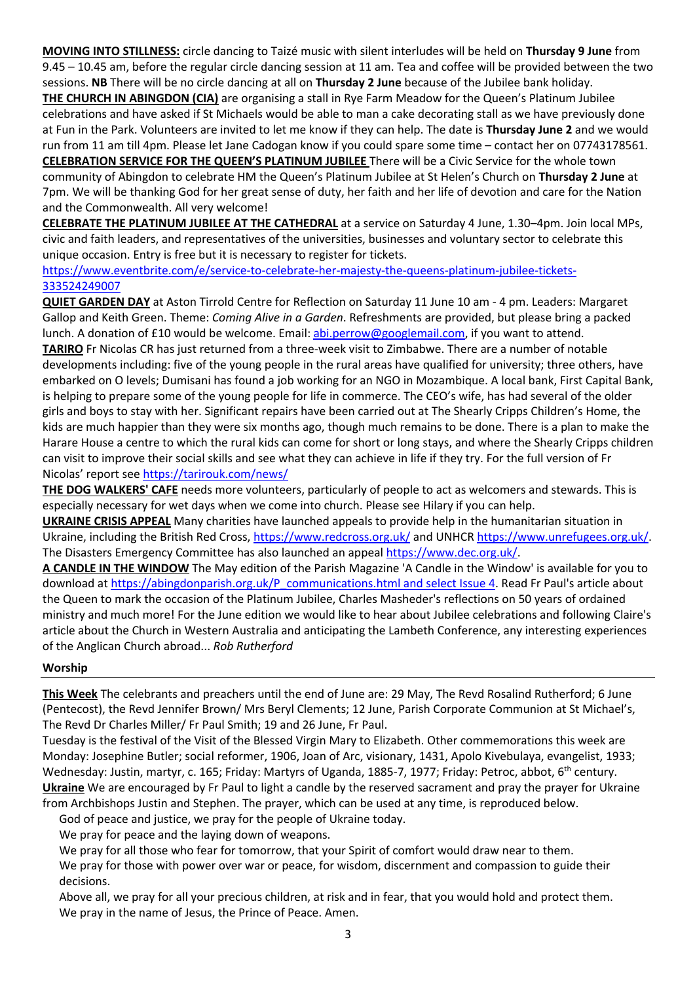**MOVING INTO STILLNESS:** circle dancing to Taizé music with silent interludes will be held on **Thursday 9 June** from 9.45 – 10.45 am, before the regular circle dancing session at 11 am. Tea and coffee will be provided between the two sessions. **NB** There will be no circle dancing at all on **Thursday 2 June** because of the Jubilee bank holiday.

**THE CHURCH IN ABINGDON (CIA)** are organising a stall in Rye Farm Meadow for the Queen's Platinum Jubilee celebrations and have asked if St Michaels would be able to man a cake decorating stall as we have previously done at Fun in the Park. Volunteers are invited to let me know if they can help. The date is **Thursday June 2** and we would run from 11 am till 4pm. Please let Jane Cadogan know if you could spare some time – contact her on 07743178561. **CELEBRATION SERVICE FOR THE QUEEN'S PLATINUM JUBILEE** There will be a Civic Service for the whole town

community of Abingdon to celebrate HM the Queen's Platinum Jubilee at St Helen's Church on **Thursday 2 June** at 7pm. We will be thanking God for her great sense of duty, her faith and her life of devotion and care for the Nation and the Commonwealth. All very welcome!

**CELEBRATE THE PLATINUM JUBILEE AT THE CATHEDRAL** at a service on Saturday 4 June, 1.30–4pm. Join local MPs, civic and faith leaders, and representatives of the universities, businesses and voluntary sector to celebrate this unique occasion. Entry is free but it is necessary to register for tickets.

https://www.eventbrite.com/e/service-to-celebrate-her-majesty-the-queens-platinum-jubilee-tickets-333524249007

**QUIET GARDEN DAY** at Aston Tirrold Centre for Reflection on Saturday 11 June 10 am - 4 pm. Leaders: Margaret Gallop and Keith Green. Theme: *Coming Alive in a Garden*. Refreshments are provided, but please bring a packed lunch. A donation of £10 would be welcome. Email: abi.perrow@googlemail.com, if you want to attend. **TARIRO** Fr Nicolas CR has just returned from a three-week visit to Zimbabwe. There are a number of notable developments including: five of the young people in the rural areas have qualified for university; three others, have embarked on O levels; Dumisani has found a job working for an NGO in Mozambique. A local bank, First Capital Bank, is helping to prepare some of the young people for life in commerce. The CEO's wife, has had several of the older girls and boys to stay with her. Significant repairs have been carried out at The Shearly Cripps Children's Home, the kids are much happier than they were six months ago, though much remains to be done. There is a plan to make the Harare House a centre to which the rural kids can come for short or long stays, and where the Shearly Cripps children can visit to improve their social skills and see what they can achieve in life if they try. For the full version of Fr

Nicolas' report see https://tarirouk.com/news/

**THE DOG WALKERS' CAFE** needs more volunteers, particularly of people to act as welcomers and stewards. This is especially necessary for wet days when we come into church. Please see Hilary if you can help.

**UKRAINE CRISIS APPEAL** Many charities have launched appeals to provide help in the humanitarian situation in Ukraine, including the British Red Cross, https://www.redcross.org.uk/ and UNHCR https://www.unrefugees.org.uk/. The Disasters Emergency Committee has also launched an appeal https://www.dec.org.uk/.

**A CANDLE IN THE WINDOW** The May edition of the Parish Magazine 'A Candle in the Window' is available for you to download at https://abingdonparish.org.uk/P\_communications.html and select Issue 4. Read Fr Paul's article about the Queen to mark the occasion of the Platinum Jubilee, Charles Masheder's reflections on 50 years of ordained ministry and much more! For the June edition we would like to hear about Jubilee celebrations and following Claire's article about the Church in Western Australia and anticipating the Lambeth Conference, any interesting experiences of the Anglican Church abroad... *Rob Rutherford*

#### **Worship**

**This Week** The celebrants and preachers until the end of June are: 29 May, The Revd Rosalind Rutherford; 6 June (Pentecost), the Revd Jennifer Brown/ Mrs Beryl Clements; 12 June, Parish Corporate Communion at St Michael's, The Revd Dr Charles Miller/ Fr Paul Smith; 19 and 26 June, Fr Paul.

Tuesday is the festival of the Visit of the Blessed Virgin Mary to Elizabeth. Other commemorations this week are Monday: Josephine Butler; social reformer, 1906, Joan of Arc, visionary, 1431, Apolo Kivebulaya, evangelist, 1933; Wednesday: Justin, martyr, c. 165; Friday: Martyrs of Uganda, 1885-7, 1977; Friday: Petroc, abbot, 6<sup>th</sup> century. **Ukraine** We are encouraged by Fr Paul to light a candle by the reserved sacrament and pray the prayer for Ukraine from Archbishops Justin and Stephen. The prayer, which can be used at any time, is reproduced below.

God of peace and justice, we pray for the people of Ukraine today.

We pray for peace and the laying down of weapons.

We pray for all those who fear for tomorrow, that your Spirit of comfort would draw near to them.

We pray for those with power over war or peace, for wisdom, discernment and compassion to guide their decisions.

Above all, we pray for all your precious children, at risk and in fear, that you would hold and protect them. We pray in the name of Jesus, the Prince of Peace. Amen.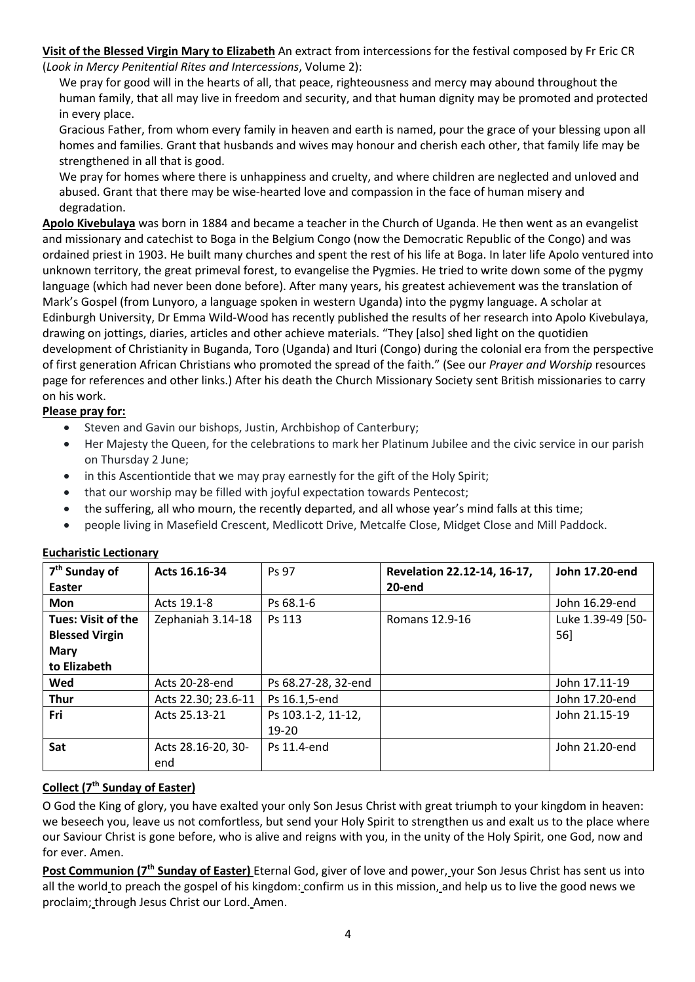**Visit of the Blessed Virgin Mary to Elizabeth** An extract from intercessions for the festival composed by Fr Eric CR (*Look in Mercy Penitential Rites and Intercessions*, Volume 2):

We pray for good will in the hearts of all, that peace, righteousness and mercy may abound throughout the human family, that all may live in freedom and security, and that human dignity may be promoted and protected in every place.

Gracious Father, from whom every family in heaven and earth is named, pour the grace of your blessing upon all homes and families. Grant that husbands and wives may honour and cherish each other, that family life may be strengthened in all that is good.

We pray for homes where there is unhappiness and cruelty, and where children are neglected and unloved and abused. Grant that there may be wise-hearted love and compassion in the face of human misery and degradation.

**Apolo Kivebulaya** was born in 1884 and became a teacher in the Church of Uganda. He then went as an evangelist and missionary and catechist to Boga in the Belgium Congo (now the Democratic Republic of the Congo) and was ordained priest in 1903. He built many churches and spent the rest of his life at Boga. In later life Apolo ventured into unknown territory, the great primeval forest, to evangelise the Pygmies. He tried to write down some of the pygmy language (which had never been done before). After many years, his greatest achievement was the translation of Mark's Gospel (from Lunyoro, a language spoken in western Uganda) into the pygmy language. A scholar at Edinburgh University, Dr Emma Wild-Wood has recently published the results of her research into Apolo Kivebulaya, drawing on jottings, diaries, articles and other achieve materials. "They [also] shed light on the quotidien development of Christianity in Buganda, Toro (Uganda) and Ituri (Congo) during the colonial era from the perspective of first generation African Christians who promoted the spread of the faith." (See our *Prayer and Worship* resources page for references and other links.) After his death the Church Missionary Society sent British missionaries to carry on his work.

## **Please pray for:**

- Steven and Gavin our bishops, Justin, Archbishop of Canterbury;
- Her Majesty the Queen, for the celebrations to mark her Platinum Jubilee and the civic service in our parish on Thursday 2 June;
- in this Ascentiontide that we may pray earnestly for the gift of the Holy Spirit;
- that our worship may be filled with joyful expectation towards Pentecost;
- the suffering, all who mourn, the recently departed, and all whose year's mind falls at this time;
- people living in Masefield Crescent, Medlicott Drive, Metcalfe Close, Midget Close and Mill Paddock.

| 7 <sup>th</sup> Sunday of | Acts 16.16-34       | Ps 97               | Revelation 22.12-14, 16-17, | John 17.20-end    |
|---------------------------|---------------------|---------------------|-----------------------------|-------------------|
| Easter                    |                     |                     | 20-end                      |                   |
| <b>Mon</b>                | Acts 19.1-8         | Ps 68.1-6           |                             | John 16.29-end    |
| <b>Tues: Visit of the</b> | Zephaniah 3.14-18   | Ps 113              | Romans 12.9-16              | Luke 1.39-49 [50- |
| <b>Blessed Virgin</b>     |                     |                     |                             | 56]               |
| Mary                      |                     |                     |                             |                   |
| to Elizabeth              |                     |                     |                             |                   |
| Wed                       | Acts 20-28-end      | Ps 68.27-28, 32-end |                             | John 17.11-19     |
| <b>Thur</b>               | Acts 22.30; 23.6-11 | Ps 16.1,5-end       |                             | John 17.20-end    |
| Fri                       | Acts 25.13-21       | Ps 103.1-2, 11-12,  |                             | John 21.15-19     |
|                           |                     | $19 - 20$           |                             |                   |
| Sat                       | Acts 28.16-20, 30-  | Ps 11.4-end         |                             | John 21.20-end    |
|                           | end                 |                     |                             |                   |

## **Eucharistic Lectionary**

#### **Collect (7th Sunday of Easter)**

O God the King of glory, you have exalted your only Son Jesus Christ with great triumph to your kingdom in heaven: we beseech you, leave us not comfortless, but send your Holy Spirit to strengthen us and exalt us to the place where our Saviour Christ is gone before, who is alive and reigns with you, in the unity of the Holy Spirit, one God, now and for ever. Amen.

**Post Communion (7th Sunday of Easter)** Eternal God, giver of love and power, your Son Jesus Christ has sent us into all the world to preach the gospel of his kingdom: confirm us in this mission, and help us to live the good news we proclaim; through Jesus Christ our Lord. Amen.